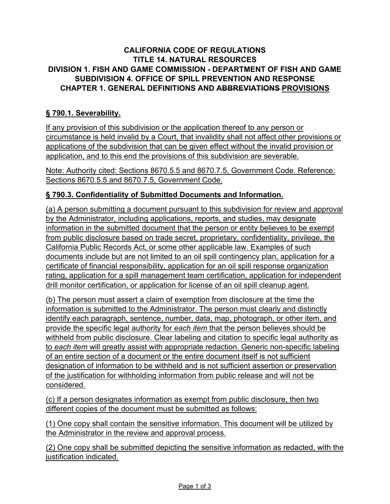### **CALIFORNIA CODE OF REGULATIONS TITLE 14. NATURAL RESOURCES DIVISION 1. FISH AND GAME COMMISSION - DEPARTMENT OF FISH AND GAME SUBDIVISION 4. OFFICE OF SPILL PREVENTION AND RESPONSE CHAPTER 1. GENERAL DEFINITIONS AND ABBREVIATIONS PROVISIONS**

## **§ 790.1. Severability.**

If any provision of this subdivision or the application thereof to any person or circumstance is held invalid by a Court, that invalidity shall not affect other provisions or applications of the subdivision that can be given effect without the invalid provision or application, and to this end the provisions of this subdivision are severable.

Note: Authority cited: Sections 8670.5.5 and 8670.7.5, Government Code. Reference: Sections 8670.5.5 and 8670.7.5, Government Code.

### **§ 790.3. Confidentiality of Submitted Documents and Information.**

(a) A person submitting a document pursuant to this subdivision for review and approval by the Administrator, including applications, reports, and studies, may designate information in the submitted document that the person or entity believes to be exempt from public disclosure based on trade secret, proprietary, confidentiality, privilege, the California Public Records Act, or some other applicable law. Examples of such documents include but are not limited to an oil spill contingency plan, application for a certificate of financial responsibility, application for an oil spill response organization rating, application for a spill management team certification, application for independent drill monitor certification, or application for license of an oil spill cleanup agent.

(b) The person must assert a claim of exemption from disclosure at the time the information is submitted to the Administrator. The person must clearly and distinctly identify each paragraph, sentence, number, data, map, photograph, or other item, and provide the specific legal authority for *each item* that the person believes should be withheld from public disclosure. Clear labeling and citation to specific legal authority as to *each item* will greatly assist with appropriate redaction. Generic non-specific labeling of an entire section of a document or the entire document itself is not sufficient designation of information to be withheld and is not sufficient assertion or preservation of the justification for withholding information from public release and will not be considered.

(c) If a person designates information as exempt from public disclosure, then two different copies of the document must be submitted as follows:

(1) One copy shall contain the sensitive information. This document will be utilized by the Administrator in the review and approval process.

(2) One copy shall be submitted depicting the sensitive information as redacted, with the justification indicated.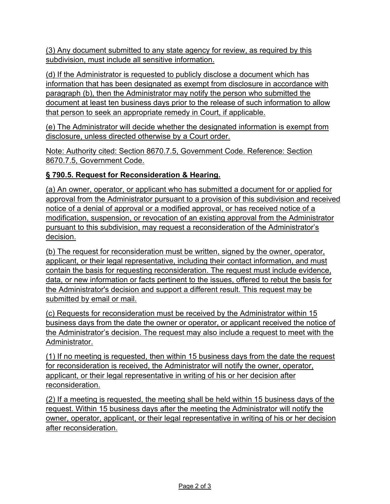(3) Any document submitted to any state agency for review, as required by this subdivision, must include all sensitive information.

(d) If the Administrator is requested to publicly disclose a document which has information that has been designated as exempt from disclosure in accordance with paragraph (b), then the Administrator may notify the person who submitted the document at least ten business days prior to the release of such information to allow that person to seek an appropriate remedy in Court, if applicable.

(e) The Administrator will decide whether the designated information is exempt from disclosure, unless directed otherwise by a Court order.

Note: Authority cited: Section 8670.7.5, Government Code. Reference: Section 8670.7.5, Government Code.

# **§ 790.5. Request for Reconsideration & Hearing.**

(a) An owner, operator, or applicant who has submitted a document for or applied for approval from the Administrator pursuant to a provision of this subdivision and received notice of a denial of approval or a modified approval, or has received notice of a modification, suspension, or revocation of an existing approval from the Administrator pursuant to this subdivision, may request a reconsideration of the Administrator's decision.

(b) The request for reconsideration must be written, signed by the owner, operator, applicant, or their legal representative, including their contact information, and must contain the basis for requesting reconsideration. The request must include evidence, data, or new information or facts pertinent to the issues, offered to rebut the basis for the Administrator's decision and support a different result. This request may be submitted by email or mail.

(c) Requests for reconsideration must be received by the Administrator within 15 business days from the date the owner or operator, or applicant received the notice of the Administrator's decision. The request may also include a request to meet with the Administrator.

(1) If no meeting is requested, then within 15 business days from the date the request for reconsideration is received, the Administrator will notify the owner, operator, applicant, or their legal representative in writing of his or her decision after reconsideration.

(2) If a meeting is requested, the meeting shall be held within 15 business days of the request. Within 15 business days after the meeting the Administrator will notify the owner, operator, applicant, or their legal representative in writing of his or her decision after reconsideration.